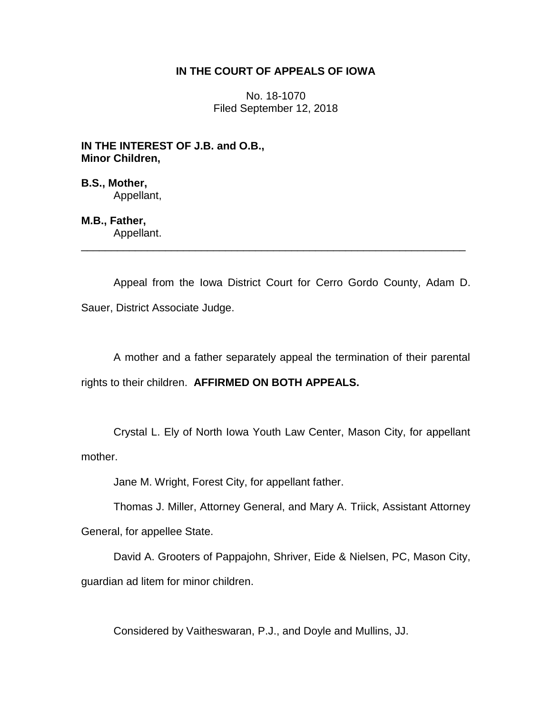## **IN THE COURT OF APPEALS OF IOWA**

No. 18-1070 Filed September 12, 2018

**IN THE INTEREST OF J.B. and O.B., Minor Children,**

**B.S., Mother,** Appellant,

**M.B., Father,** Appellant.

Appeal from the Iowa District Court for Cerro Gordo County, Adam D. Sauer, District Associate Judge.

\_\_\_\_\_\_\_\_\_\_\_\_\_\_\_\_\_\_\_\_\_\_\_\_\_\_\_\_\_\_\_\_\_\_\_\_\_\_\_\_\_\_\_\_\_\_\_\_\_\_\_\_\_\_\_\_\_\_\_\_\_\_\_\_

A mother and a father separately appeal the termination of their parental rights to their children. **AFFIRMED ON BOTH APPEALS.**

Crystal L. Ely of North Iowa Youth Law Center, Mason City, for appellant mother.

Jane M. Wright, Forest City, for appellant father.

Thomas J. Miller, Attorney General, and Mary A. Triick, Assistant Attorney

General, for appellee State.

David A. Grooters of Pappajohn, Shriver, Eide & Nielsen, PC, Mason City, guardian ad litem for minor children.

Considered by Vaitheswaran, P.J., and Doyle and Mullins, JJ.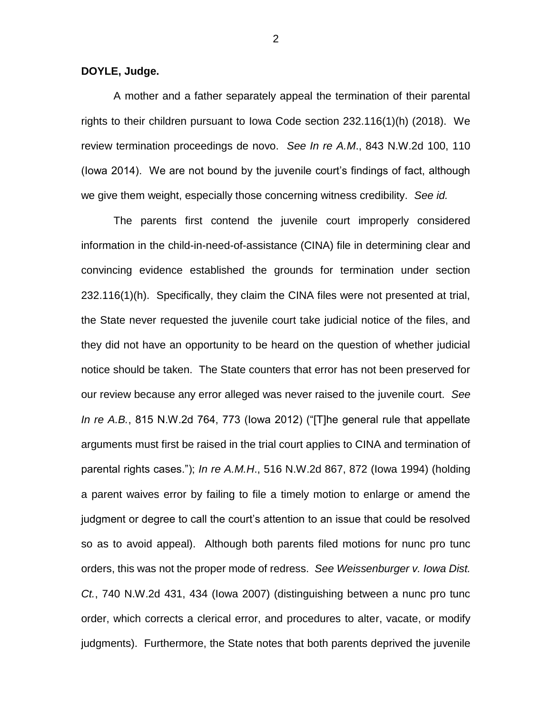**DOYLE, Judge.**

A mother and a father separately appeal the termination of their parental rights to their children pursuant to Iowa Code section 232.116(1)(h) (2018). We review termination proceedings de novo. *See In re A.M*., 843 N.W.2d 100, 110 (Iowa 2014). We are not bound by the juvenile court's findings of fact, although we give them weight, especially those concerning witness credibility. *See id.*

The parents first contend the juvenile court improperly considered information in the child-in-need-of-assistance (CINA) file in determining clear and convincing evidence established the grounds for termination under section 232.116(1)(h). Specifically, they claim the CINA files were not presented at trial, the State never requested the juvenile court take judicial notice of the files, and they did not have an opportunity to be heard on the question of whether judicial notice should be taken. The State counters that error has not been preserved for our review because any error alleged was never raised to the juvenile court. *See In re A.B.*, 815 N.W.2d 764, 773 (Iowa 2012) ("[T]he general rule that appellate arguments must first be raised in the trial court applies to CINA and termination of parental rights cases."); *In re A.M.H*., 516 N.W.2d 867, 872 (Iowa 1994) (holding a parent waives error by failing to file a timely motion to enlarge or amend the judgment or degree to call the court's attention to an issue that could be resolved so as to avoid appeal). Although both parents filed motions for nunc pro tunc orders, this was not the proper mode of redress. *See Weissenburger v. Iowa Dist. Ct.*, 740 N.W.2d 431, 434 (Iowa 2007) (distinguishing between a nunc pro tunc order, which corrects a clerical error, and procedures to alter, vacate, or modify judgments). Furthermore, the State notes that both parents deprived the juvenile

2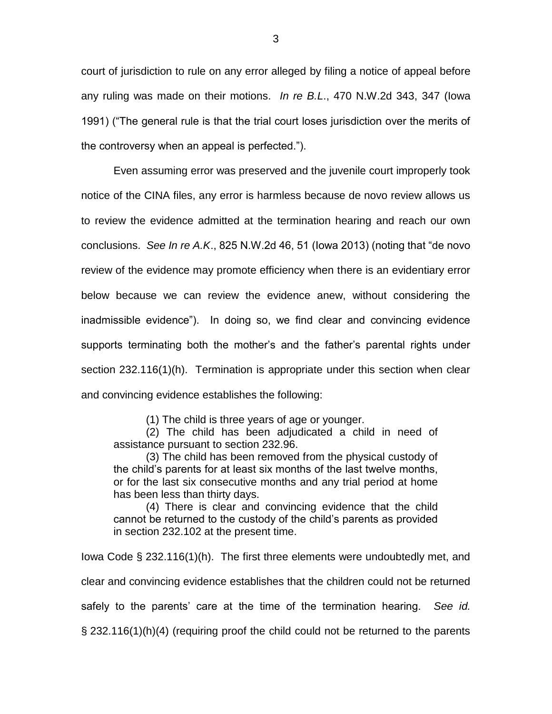court of jurisdiction to rule on any error alleged by filing a notice of appeal before any ruling was made on their motions. *In re B.L*., 470 N.W.2d 343, 347 (Iowa 1991) ("The general rule is that the trial court loses jurisdiction over the merits of the controversy when an appeal is perfected.").

Even assuming error was preserved and the juvenile court improperly took notice of the CINA files, any error is harmless because de novo review allows us to review the evidence admitted at the termination hearing and reach our own conclusions. *See In re A.K*., 825 N.W.2d 46, 51 (Iowa 2013) (noting that "de novo review of the evidence may promote efficiency when there is an evidentiary error below because we can review the evidence anew, without considering the inadmissible evidence"). In doing so, we find clear and convincing evidence supports terminating both the mother's and the father's parental rights under section 232.116(1)(h). Termination is appropriate under this section when clear and convincing evidence establishes the following:

(1) The child is three years of age or younger.

(2) The child has been adjudicated a child in need of assistance pursuant to section 232.96.

(3) The child has been removed from the physical custody of the child's parents for at least six months of the last twelve months, or for the last six consecutive months and any trial period at home has been less than thirty days.

(4) There is clear and convincing evidence that the child cannot be returned to the custody of the child's parents as provided in section 232.102 at the present time.

Iowa Code § 232.116(1)(h). The first three elements were undoubtedly met, and clear and convincing evidence establishes that the children could not be returned safely to the parents' care at the time of the termination hearing. *See id.* § 232.116(1)(h)(4) (requiring proof the child could not be returned to the parents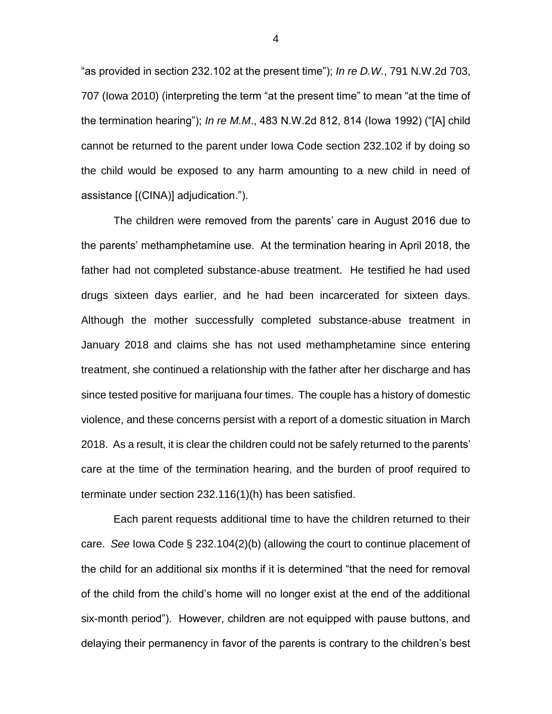"as provided in section 232.102 at the present time"); *In re D.W.*, 791 N.W.2d 703, 707 (Iowa 2010) (interpreting the term "at the present time" to mean "at the time of the termination hearing"); *In re M.M*., 483 N.W.2d 812, 814 (Iowa 1992) ("[A] child cannot be returned to the parent under Iowa Code section 232.102 if by doing so the child would be exposed to any harm amounting to a new child in need of assistance [(CINA)] adjudication.").

The children were removed from the parents' care in August 2016 due to the parents' methamphetamine use. At the termination hearing in April 2018, the father had not completed substance-abuse treatment. He testified he had used drugs sixteen days earlier, and he had been incarcerated for sixteen days. Although the mother successfully completed substance-abuse treatment in January 2018 and claims she has not used methamphetamine since entering treatment, she continued a relationship with the father after her discharge and has since tested positive for marijuana four times. The couple has a history of domestic violence, and these concerns persist with a report of a domestic situation in March 2018. As a result, it is clear the children could not be safely returned to the parents' care at the time of the termination hearing, and the burden of proof required to terminate under section 232.116(1)(h) has been satisfied.

Each parent requests additional time to have the children returned to their care. *See* Iowa Code § 232.104(2)(b) (allowing the court to continue placement of the child for an additional six months if it is determined "that the need for removal of the child from the child's home will no longer exist at the end of the additional six-month period"). However, children are not equipped with pause buttons, and delaying their permanency in favor of the parents is contrary to the children's best

4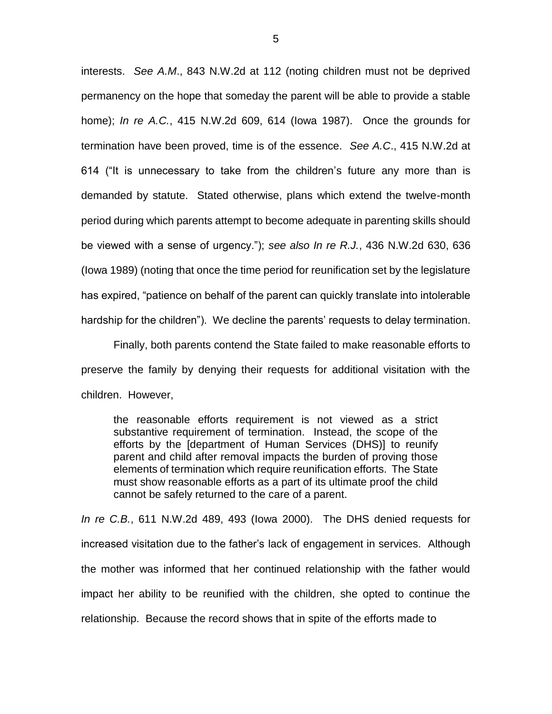interests. *See A.M*., 843 N.W.2d at 112 (noting children must not be deprived permanency on the hope that someday the parent will be able to provide a stable home); *In re A.C.*, 415 N.W.2d 609, 614 (Iowa 1987). Once the grounds for termination have been proved, time is of the essence. *See A.C*., 415 N.W.2d at 614 ("It is unnecessary to take from the children's future any more than is demanded by statute. Stated otherwise, plans which extend the twelve-month period during which parents attempt to become adequate in parenting skills should be viewed with a sense of urgency."); *see also In re R.J.*, 436 N.W.2d 630, 636 (Iowa 1989) (noting that once the time period for reunification set by the legislature has expired, "patience on behalf of the parent can quickly translate into intolerable hardship for the children"). We decline the parents' requests to delay termination.

Finally, both parents contend the State failed to make reasonable efforts to preserve the family by denying their requests for additional visitation with the children. However,

the reasonable efforts requirement is not viewed as a strict substantive requirement of termination. Instead, the scope of the efforts by the [department of Human Services (DHS)] to reunify parent and child after removal impacts the burden of proving those elements of termination which require reunification efforts. The State must show reasonable efforts as a part of its ultimate proof the child cannot be safely returned to the care of a parent.

*In re C.B.*, 611 N.W.2d 489, 493 (Iowa 2000). The DHS denied requests for increased visitation due to the father's lack of engagement in services. Although the mother was informed that her continued relationship with the father would impact her ability to be reunified with the children, she opted to continue the relationship. Because the record shows that in spite of the efforts made to

5